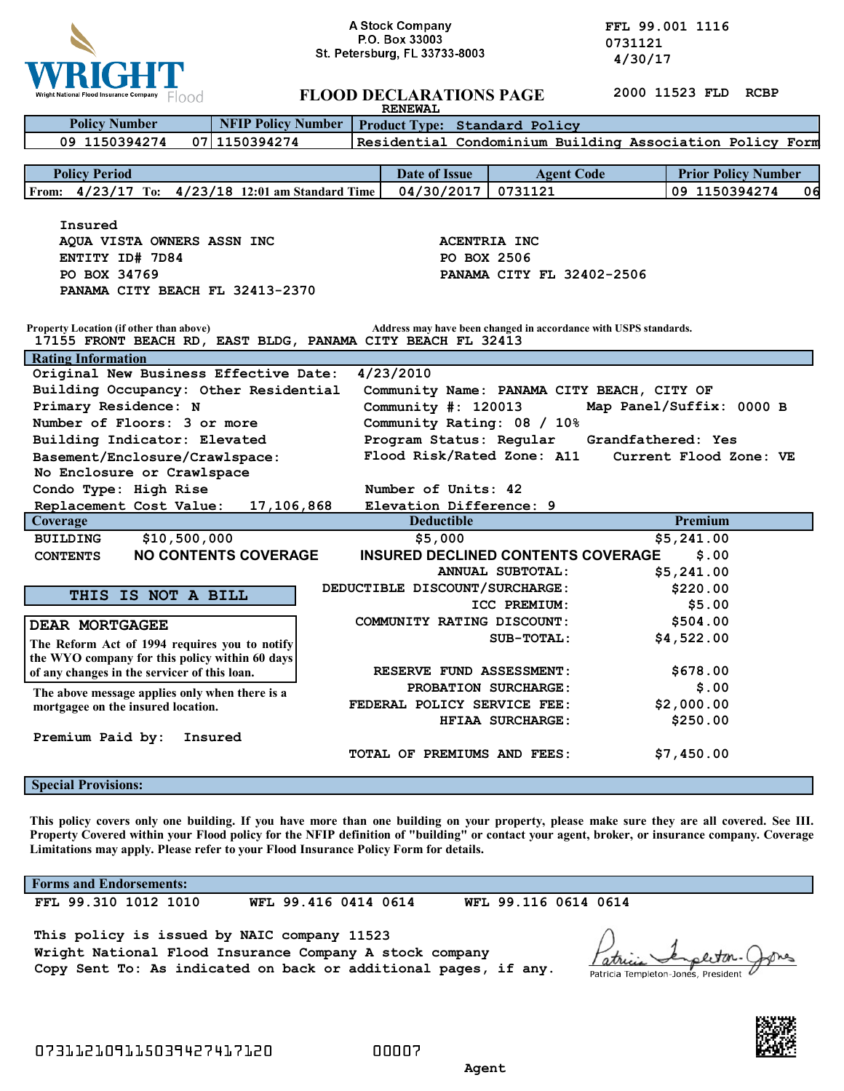

**A Stock Company**<br> **P.O. Box 33003**<br> **P.O. Box 33003**<br> **COMPANY 1.0. Box 33003. 1.0. Professors 1.0. Professors 1.0. Professors 1.0. Professors 1.0. Professors 1.0. Professors 1.0. Professors 1.0. Professors 1.0. Professors 1.0. Professors 1.0. Professors 1.0.** 

| Wright National Flood Insurance Company FOOO                                                                                                                               | <b>FLOOD DECLARATIONS PAGE</b><br><b>RENEWAL</b> |                                                      |                         | 2000 11523 FLD RCBP |                            |
|----------------------------------------------------------------------------------------------------------------------------------------------------------------------------|--------------------------------------------------|------------------------------------------------------|-------------------------|---------------------|----------------------------|
| <b>NFIP Policy Number</b><br><b>Policy Number</b><br>Product Type: Standard Policy                                                                                         |                                                  |                                                      |                         |                     |                            |
| 09 1150394274<br>07 1150394274<br>Residential Condominium Building Association Policy Form                                                                                 |                                                  |                                                      |                         |                     |                            |
|                                                                                                                                                                            |                                                  |                                                      |                         |                     |                            |
| <b>Policy Period</b>                                                                                                                                                       |                                                  | <b>Date of Issue</b>                                 | <b>Agent Code</b>       |                     | <b>Prior Policy Number</b> |
| From: 4/23/17 To: 4/23/18 12:01 am Standard Time                                                                                                                           |                                                  | 04/30/2017                                           | 0731121                 |                     | 09 1150394274<br>06        |
|                                                                                                                                                                            |                                                  |                                                      |                         |                     |                            |
| Insured                                                                                                                                                                    |                                                  |                                                      |                         |                     |                            |
| AQUA VISTA OWNERS ASSN INC                                                                                                                                                 |                                                  | <b>ACENTRIA INC</b>                                  |                         |                     |                            |
| ENTITY ID# 7D84                                                                                                                                                            |                                                  | PO BOX 2506                                          |                         |                     |                            |
| PO BOX 34769                                                                                                                                                               |                                                  | PANAMA CITY FL 32402-2506                            |                         |                     |                            |
| PANAMA CITY BEACH FL 32413-2370                                                                                                                                            |                                                  |                                                      |                         |                     |                            |
|                                                                                                                                                                            |                                                  |                                                      |                         |                     |                            |
| Property Location (if other than above)<br>Address may have been changed in accordance with USPS standards.<br>17155 FRONT BEACH RD, EAST BLDG, PANAMA CITY BEACH FL 32413 |                                                  |                                                      |                         |                     |                            |
| <b>Rating Information</b>                                                                                                                                                  |                                                  |                                                      |                         |                     |                            |
| Original New Business Effective Date:                                                                                                                                      |                                                  | 4/23/2010                                            |                         |                     |                            |
| Building Occupancy: Other Residential<br>Community Name: PANAMA CITY BEACH, CITY OF                                                                                        |                                                  |                                                      |                         |                     |                            |
| Primary Residence: N<br>Map Panel/Suffix: 0000 B<br>Community $\#: 120013$                                                                                                 |                                                  |                                                      |                         |                     |                            |
| Number of Floors: 3 or more                                                                                                                                                | Community Rating: 08 / 10%                       |                                                      |                         |                     |                            |
| Building Indicator: Elevated                                                                                                                                               |                                                  | Program Status: Regular<br>Grandfathered: Yes        |                         |                     |                            |
| Basement/Enclosure/Crawlspace:                                                                                                                                             |                                                  | Flood Risk/Rated Zone: A11<br>Current Flood Zone: VE |                         |                     |                            |
| No Enclosure or Crawlspace                                                                                                                                                 |                                                  |                                                      |                         |                     |                            |
| Condo Type: High Rise                                                                                                                                                      |                                                  | Number of Units: 42                                  |                         |                     |                            |
| Replacement Cost Value:                                                                                                                                                    | Elevation Difference: 9                          |                                                      |                         |                     |                            |
| Coverage                                                                                                                                                                   |                                                  | <b>Deductible</b>                                    |                         | Premium             |                            |
| \$10,500,000<br><b>BUILDING</b>                                                                                                                                            |                                                  | \$5,000                                              |                         | \$5,241.00          |                            |
| <b>CONTENTS</b>                                                                                                                                                            | <b>NO CONTENTS COVERAGE</b>                      | <b>INSURED DECLINED CONTENTS COVERAGE</b>            |                         | \$.00               |                            |
|                                                                                                                                                                            |                                                  |                                                      | <b>ANNUAL SUBTOTAL:</b> | \$5,241.00          |                            |
| THIS IS NOT A BILL                                                                                                                                                         |                                                  | DEDUCTIBLE DISCOUNT/SURCHARGE:                       |                         | \$220.00            |                            |
|                                                                                                                                                                            |                                                  |                                                      | ICC PREMIUM:            | \$5.00              |                            |
| <b>DEAR MORTGAGEE</b>                                                                                                                                                      |                                                  | COMMUNITY RATING DISCOUNT:                           |                         | \$504.00            |                            |
| The Reform Act of 1994 requires you to notify                                                                                                                              |                                                  |                                                      | SUB-TOTAL:              | \$4,522.00          |                            |
| the WYO company for this policy within 60 days                                                                                                                             |                                                  |                                                      |                         |                     |                            |
| of any changes in the servicer of this loan.                                                                                                                               |                                                  | RESERVE FUND ASSESSMENT:                             |                         | \$678.00            |                            |
| The above message applies only when there is a<br>mortgagee on the insured location.                                                                                       |                                                  | PROBATION SURCHARGE:                                 |                         | \$.00               |                            |
|                                                                                                                                                                            |                                                  | FEDERAL POLICY SERVICE FEE:                          |                         | \$2,000.00          |                            |
|                                                                                                                                                                            |                                                  |                                                      | HFIAA SURCHARGE:        | \$250.00            |                            |
| Premium Paid by:                                                                                                                                                           | Insured                                          |                                                      |                         |                     |                            |
|                                                                                                                                                                            |                                                  | TOTAL OF PREMIUMS AND FEES:                          |                         | \$7,450.00          |                            |
| <b>Special Provisions:</b>                                                                                                                                                 |                                                  |                                                      |                         |                     |                            |
|                                                                                                                                                                            |                                                  |                                                      |                         |                     |                            |

This policy covers only one building. If you have more than one building on your property, please make sure they are all covered. See III. Property Covered within your Flood policy for the NFIP definition of "building" or contact your agent, broker, or insurance company. Coverage **Limitations may apply. Please refer to your Flood Insurance Policy Form for details.**

**Forms and Endorsements:**

**FFL 99.310 1012 1010 WFL 99.416 0414 0614 WFL 99.116 0614 0614**

**This policy is issued by NAIC company 11523 Wright National Flood Insurance Company A stock company Copy Sent To: As indicated on back or additional pages, if any.**

**VM** atr Patricia Templeton-Jones, President



*Agent* **Agent**